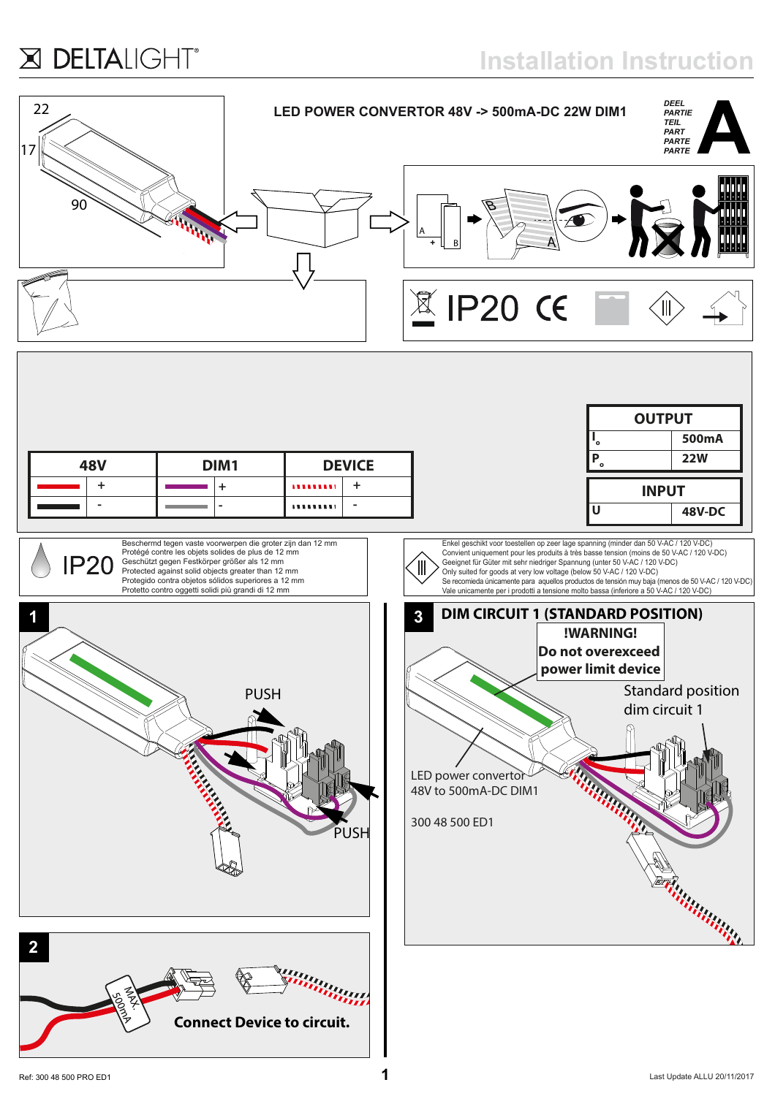## X DELTALIGHT®